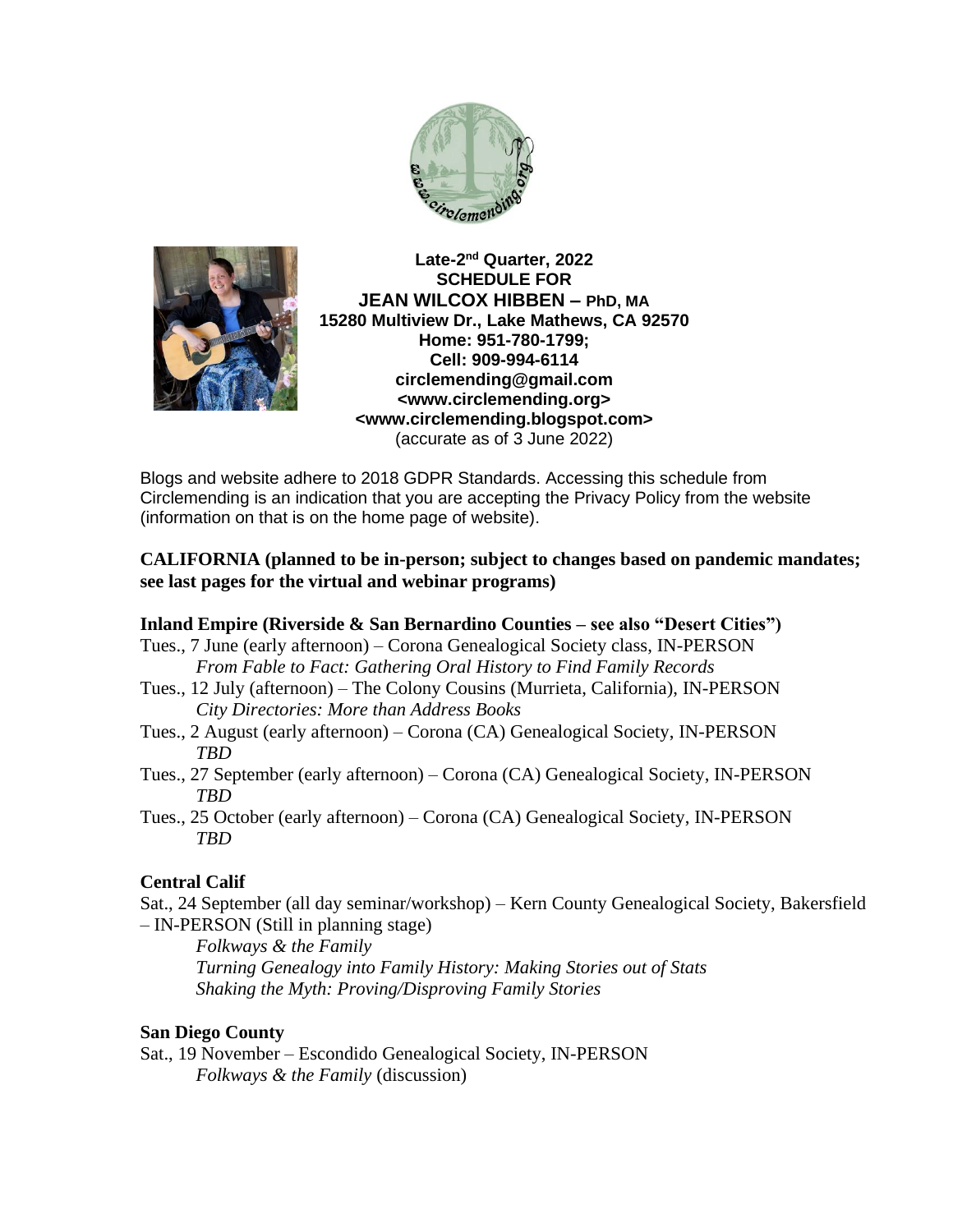



**Late-2 nd Quarter, 2022 SCHEDULE FOR JEAN WILCOX HIBBEN – PhD, MA 15280 Multiview Dr., Lake Mathews, CA 92570 Home: 951-780-1799; Cell: 909-994-6114 circlemending@gmail.com <www.circlemending.org> <www.circlemending.blogspot.com>** (accurate as of 3 June 2022)

Blogs and website adhere to 2018 GDPR Standards. Accessing this schedule from Circlemending is an indication that you are accepting the Privacy Policy from the website (information on that is on the home page of website).

### **CALIFORNIA (planned to be in-person; subject to changes based on pandemic mandates; see last pages for the virtual and webinar programs)**

## **Inland Empire (Riverside & San Bernardino Counties – see also "Desert Cities")**

- Tues., 7 June (early afternoon) Corona Genealogical Society class, IN-PERSON *From Fable to Fact: Gathering Oral History to Find Family Records*
- Tues., 12 July (afternoon) The Colony Cousins (Murrieta, California), IN-PERSON *City Directories: More than Address Books*
- Tues., 2 August (early afternoon) Corona (CA) Genealogical Society, IN-PERSON *TBD*
- Tues., 27 September (early afternoon) Corona (CA) Genealogical Society, IN-PERSON *TBD*
- Tues., 25 October (early afternoon) Corona (CA) Genealogical Society, IN-PERSON *TBD*

# **Central Calif**

Sat., 24 September (all day seminar/workshop) – Kern County Genealogical Society, Bakersfield – IN-PERSON (Still in planning stage)

*Folkways & the Family Turning Genealogy into Family History: Making Stories out of Stats Shaking the Myth: Proving/Disproving Family Stories*

## **San Diego County**

Sat., 19 November – Escondido Genealogical Society, IN-PERSON *Folkways & the Family* (discussion)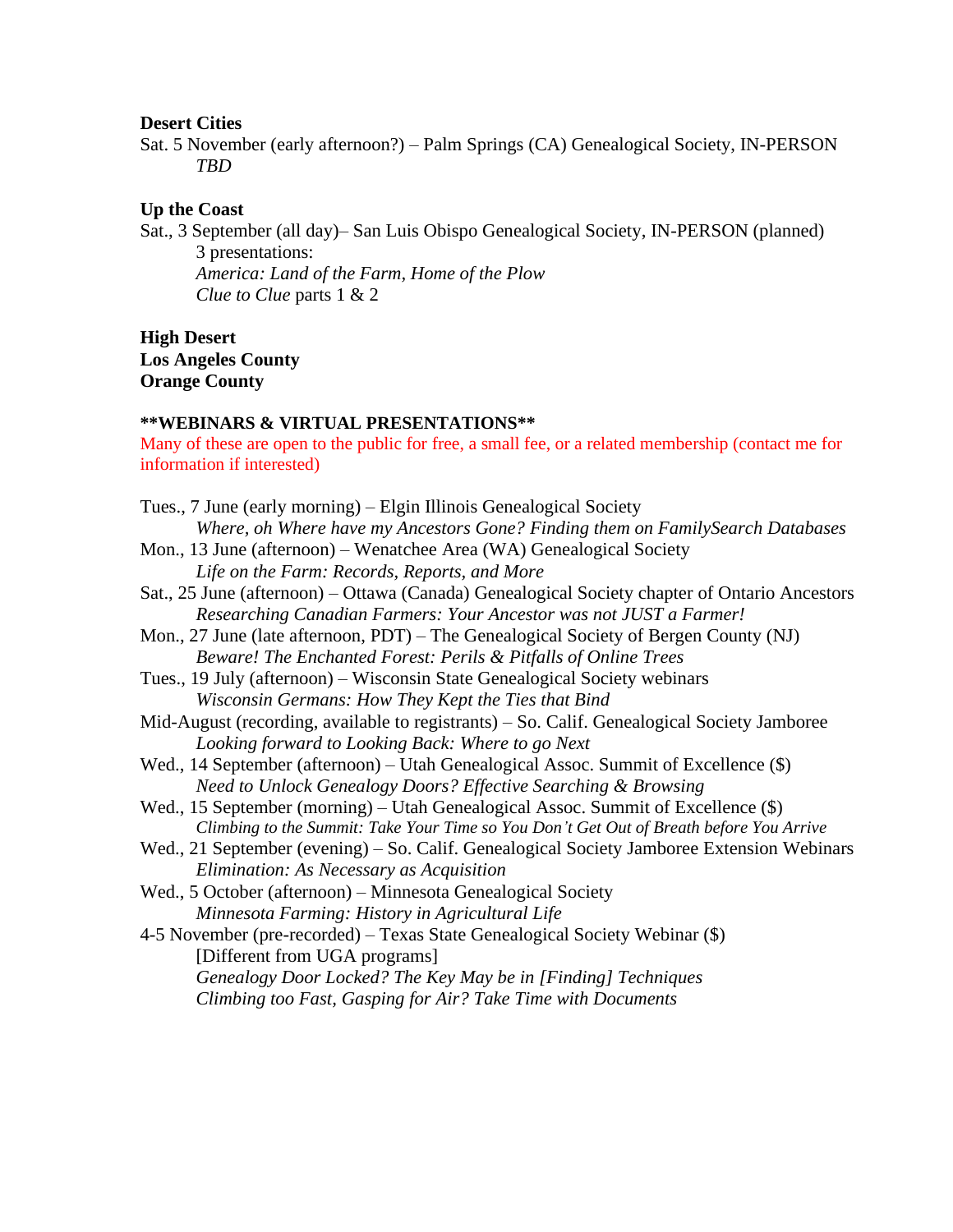#### **Desert Cities**

Sat. 5 November (early afternoon?) – Palm Springs (CA) Genealogical Society, IN-PERSON *TBD*

### **Up the Coast**

Sat., 3 September (all day)– San Luis Obispo Genealogical Society, IN-PERSON (planned)

3 presentations: *America: Land of the Farm, Home of the Plow Clue to Clue* parts 1 & 2

**High Desert Los Angeles County Orange County**

#### **\*\*WEBINARS & VIRTUAL PRESENTATIONS\*\***

Many of these are open to the public for free, a small fee, or a related membership (contact me for information if interested)

| Tues., 7 June (early morning) – Elgin Illinois Genealogical Society                           |
|-----------------------------------------------------------------------------------------------|
| Where, oh Where have my Ancestors Gone? Finding them on FamilySearch Databases                |
| Mon., 13 June (afternoon) – Wenatchee Area (WA) Genealogical Society                          |
| Life on the Farm: Records, Reports, and More                                                  |
| Sat., 25 June (afternoon) – Ottawa (Canada) Genealogical Society chapter of Ontario Ancestors |
| Researching Canadian Farmers: Your Ancestor was not JUST a Farmer!                            |
| Mon., 27 June (late afternoon, PDT) – The Genealogical Society of Bergen County (NJ)          |
| Beware! The Enchanted Forest: Perils & Pitfalls of Online Trees                               |
| Tues., 19 July (afternoon) – Wisconsin State Genealogical Society webinars                    |
| Wisconsin Germans: How They Kept the Ties that Bind                                           |
| Mid-August (recording, available to registrants) - So. Calif. Genealogical Society Jamboree   |
| Looking forward to Looking Back: Where to go Next                                             |
| Wed., 14 September (afternoon) – Utah Genealogical Assoc. Summit of Excellence (\$)           |
| Need to Unlock Genealogy Doors? Effective Searching & Browsing                                |
| Wed., 15 September (morning) – Utah Genealogical Assoc. Summit of Excellence (\$)             |
| Climbing to the Summit: Take Your Time so You Don't Get Out of Breath before You Arrive       |
| Wed., 21 September (evening) – So. Calif. Genealogical Society Jamboree Extension Webinars    |
| Elimination: As Necessary as Acquisition                                                      |
| Wed., 5 October (afternoon) – Minnesota Genealogical Society                                  |
| Minnesota Farming: History in Agricultural Life                                               |
| 4-5 November (pre-recorded) – Texas State Genealogical Society Webinar (\$)                   |
| [Different from UGA programs]                                                                 |
| Genealogy Door Locked? The Key May be in [Finding] Techniques                                 |
| Climbing too Fast, Gasping for Air? Take Time with Documents                                  |
|                                                                                               |